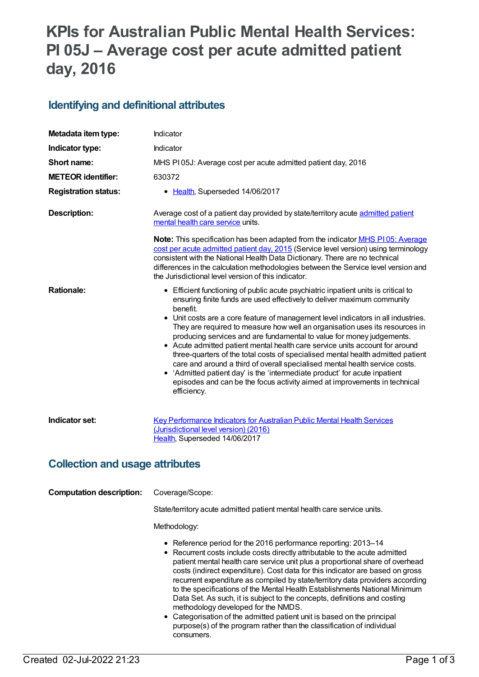# **KPIs for Australian Public Mental Health Services: PI 05J – Average cost per acute admitted patient day, 2016**

## **Identifying and definitional attributes**

| Metadata item type:                    | Indicator                                                                                                                                                                                                                                                                                                                                                                                                                                                                                                                                                                                                                                                                                                                                                             |  |
|----------------------------------------|-----------------------------------------------------------------------------------------------------------------------------------------------------------------------------------------------------------------------------------------------------------------------------------------------------------------------------------------------------------------------------------------------------------------------------------------------------------------------------------------------------------------------------------------------------------------------------------------------------------------------------------------------------------------------------------------------------------------------------------------------------------------------|--|
| Indicator type:                        | Indicator                                                                                                                                                                                                                                                                                                                                                                                                                                                                                                                                                                                                                                                                                                                                                             |  |
| Short name:                            | MHS PI05J: Average cost per acute admitted patient day, 2016                                                                                                                                                                                                                                                                                                                                                                                                                                                                                                                                                                                                                                                                                                          |  |
| <b>METEOR identifier:</b>              | 630372                                                                                                                                                                                                                                                                                                                                                                                                                                                                                                                                                                                                                                                                                                                                                                |  |
| <b>Registration status:</b>            | • Health, Superseded 14/06/2017                                                                                                                                                                                                                                                                                                                                                                                                                                                                                                                                                                                                                                                                                                                                       |  |
| <b>Description:</b>                    | Average cost of a patient day provided by state/territory acute admitted patient<br>mental health care service units.                                                                                                                                                                                                                                                                                                                                                                                                                                                                                                                                                                                                                                                 |  |
|                                        | <b>Note:</b> This specification has been adapted from the indicator <b>MHS PI05: Average</b><br>cost per acute admitted patient day, 2015 (Service level version) using terminology<br>consistent with the National Health Data Dictionary. There are no technical<br>differences in the calculation methodologies between the Service level version and<br>the Jurisdictional level version of this indicator.                                                                                                                                                                                                                                                                                                                                                       |  |
| <b>Rationale:</b>                      | • Efficient functioning of public acute psychiatric inpatient units is critical to<br>ensuring finite funds are used effectively to deliver maximum community<br>benefit.<br>• Unit costs are a core feature of management level indicators in all industries.                                                                                                                                                                                                                                                                                                                                                                                                                                                                                                        |  |
|                                        | They are required to measure how well an organisation uses its resources in<br>producing services and are fundamental to value for money judgements.<br>• Acute admitted patient mental health care service units account for around<br>three-quarters of the total costs of specialised mental health admitted patient<br>care and around a third of overall specialised mental health service costs.<br>• 'Admitted patient day' is the 'intermediate product' for acute inpatient<br>episodes and can be the focus activity aimed at improvements in technical<br>efficiency.                                                                                                                                                                                      |  |
| Indicator set:                         | <b>Key Performance Indicators for Australian Public Mental Health Services</b><br>(Jurisdictional level version) (2016)<br>Health, Superseded 14/06/2017                                                                                                                                                                                                                                                                                                                                                                                                                                                                                                                                                                                                              |  |
| <b>Collection and usage attributes</b> |                                                                                                                                                                                                                                                                                                                                                                                                                                                                                                                                                                                                                                                                                                                                                                       |  |
| <b>Computation description:</b>        | Coverage/Scope:                                                                                                                                                                                                                                                                                                                                                                                                                                                                                                                                                                                                                                                                                                                                                       |  |
|                                        | State/territory acute admitted patient mental health care service units.                                                                                                                                                                                                                                                                                                                                                                                                                                                                                                                                                                                                                                                                                              |  |
|                                        | Methodology:                                                                                                                                                                                                                                                                                                                                                                                                                                                                                                                                                                                                                                                                                                                                                          |  |
|                                        | • Reference period for the 2016 performance reporting: 2013-14<br>• Recurrent costs include costs directly attributable to the acute admitted<br>patient mental health care service unit plus a proportional share of overhead<br>costs (indirect expenditure). Cost data for this indicator are based on gross<br>recurrent expenditure as compiled by state/territory data providers according<br>to the specifications of the Mental Health Establishments National Minimum<br>Data Set. As such, it is subject to the concepts, definitions and costing<br>methodology developed for the NMDS.<br>• Categorisation of the admitted patient unit is based on the principal<br>purpose(s) of the program rather than the classification of individual<br>consumers. |  |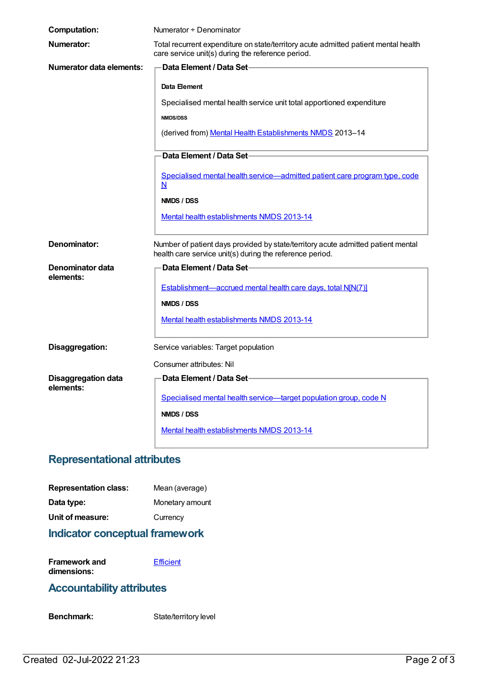| <b>Computation:</b>                     | Numerator + Denominator                                                                                                                      |
|-----------------------------------------|----------------------------------------------------------------------------------------------------------------------------------------------|
| Numerator:                              | Total recurrent expenditure on state/territory acute admitted patient mental health<br>care service unit(s) during the reference period.     |
| <b>Numerator data elements:</b>         | <b>Data Element / Data Set-</b>                                                                                                              |
|                                         | Data Element                                                                                                                                 |
|                                         | Specialised mental health service unit total apportioned expenditure                                                                         |
|                                         | <b>NMDS/DSS</b>                                                                                                                              |
|                                         | (derived from) Mental Health Establishments NMDS 2013-14                                                                                     |
|                                         | Data Element / Data Set                                                                                                                      |
|                                         | Specialised mental health service-admitted patient care program type, code<br>N                                                              |
|                                         | NMDS / DSS                                                                                                                                   |
|                                         | Mental health establishments NMDS 2013-14                                                                                                    |
| Denominator:                            | Number of patient days provided by state/territory acute admitted patient mental<br>health care service unit(s) during the reference period. |
| Denominator data                        | Data Element / Data Set-                                                                                                                     |
| elements:                               | Establishment-accrued mental health care days, total N[N(7)]                                                                                 |
|                                         | NMDS / DSS                                                                                                                                   |
|                                         | Mental health establishments NMDS 2013-14                                                                                                    |
| Disaggregation:                         | Service variables: Target population                                                                                                         |
|                                         | Consumer attributes: Nil                                                                                                                     |
| <b>Disaggregation data</b><br>elements: | Data Element / Data Set-                                                                                                                     |
|                                         | Specialised mental health service-target population group, code N                                                                            |
|                                         | NMDS / DSS                                                                                                                                   |
|                                         | Mental health establishments NMDS 2013-14                                                                                                    |

#### **Representational attributes**

| <b>Representation class:</b> | Mean (average)  |
|------------------------------|-----------------|
| Data type:                   | Monetary amount |
| Unit of measure:             | Currency        |

## **Indicator conceptual framework**

**Framework and dimensions: [Efficient](https://meteor.aihw.gov.au/content/584870)** 

## **Accountability attributes**

Benchmark: State/territory level